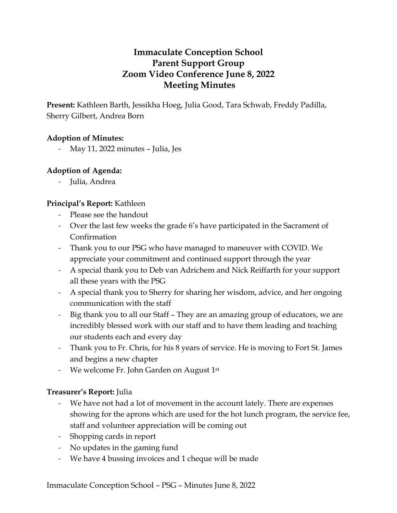# **Immaculate Conception School Parent Support Group Zoom Video Conference June 8, 2022 Meeting Minutes**

**Present:** Kathleen Barth, Jessikha Hoeg, Julia Good, Tara Schwab, Freddy Padilla, Sherry Gilbert, Andrea Born

### **Adoption of Minutes:**

May 11, 2022 minutes - Julia, Jes

# **Adoption of Agenda:**

- Julia, Andrea

# **Principal's Report:** Kathleen

- Please see the handout
- Over the last few weeks the grade 6's have participated in the Sacrament of Confirmation
- Thank you to our PSG who have managed to maneuver with COVID. We appreciate your commitment and continued support through the year
- A special thank you to Deb van Adrichem and Nick Reiffarth for your support all these years with the PSG
- A special thank you to Sherry for sharing her wisdom, advice, and her ongoing communication with the staff
- Big thank you to all our Staff They are an amazing group of educators, we are incredibly blessed work with our staff and to have them leading and teaching our students each and every day
- Thank you to Fr. Chris, for his 8 years of service. He is moving to Fort St. James and begins a new chapter
- We welcome Fr. John Garden on August 1st

# **Treasurer's Report:** Julia

- We have not had a lot of movement in the account lately. There are expenses showing for the aprons which are used for the hot lunch program, the service fee, staff and volunteer appreciation will be coming out
- Shopping cards in report
- No updates in the gaming fund
- We have 4 bussing invoices and 1 cheque will be made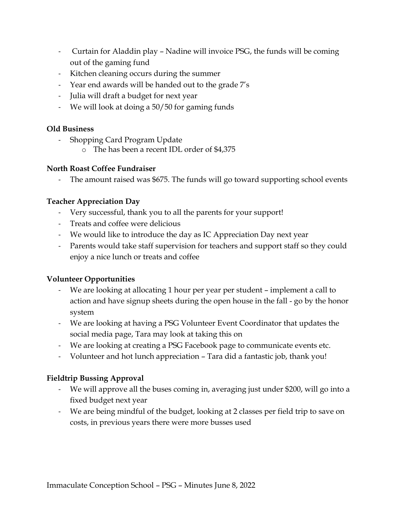- Curtain for Aladdin play Nadine will invoice PSG, the funds will be coming out of the gaming fund
- Kitchen cleaning occurs during the summer
- Year end awards will be handed out to the grade 7's
- Julia will draft a budget for next year
- We will look at doing a 50/50 for gaming funds

### **Old Business**

- Shopping Card Program Update
	- o The has been a recent IDL order of \$4,375

### **North Roast Coffee Fundraiser**

- The amount raised was \$675. The funds will go toward supporting school events

### **Teacher Appreciation Day**

- Very successful, thank you to all the parents for your support!
- Treats and coffee were delicious
- We would like to introduce the day as IC Appreciation Day next year
- Parents would take staff supervision for teachers and support staff so they could enjoy a nice lunch or treats and coffee

# **Volunteer Opportunities**

- We are looking at allocating 1 hour per year per student implement a call to action and have signup sheets during the open house in the fall - go by the honor system
- We are looking at having a PSG Volunteer Event Coordinator that updates the social media page, Tara may look at taking this on
- We are looking at creating a PSG Facebook page to communicate events etc.
- Volunteer and hot lunch appreciation Tara did a fantastic job, thank you!

# **Fieldtrip Bussing Approval**

- We will approve all the buses coming in, averaging just under \$200, will go into a fixed budget next year
- We are being mindful of the budget, looking at 2 classes per field trip to save on costs, in previous years there were more busses used